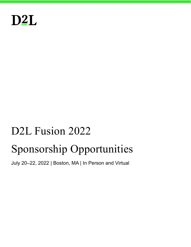

# D<sub>2</sub>L Fusion 2022 Sponsorship Opportunities

July 20–22, 2022 | Boston, MA | In Person and Virtual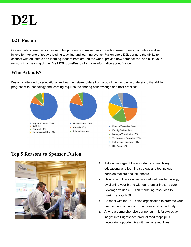# D<sub>2</sub>L

## D2L Fusion

Our annual conference is an incredible opportunity to make new connections—with peers, with ideas and with innovation. As one of today's leading teaching and learning events, Fusion offers D2L partners the ability to connect with educators and learning leaders from around the world, provide new perspectives, and build your network in a meaningful way. Visit D2L.com/Fusion for more information about Fusion.

## Who Attends?

Fusion is attended by educational and learning stakeholders from around the world who understand that driving progress with technology and learning requires the sharing of knowledge and best practices.



## Top 5 Reasons to Sponsor Fusion



1. Take advantage of the opportunity to reach key educational and learning strategy and technology decision makers and influencers.

Site Admin 6%

- 2. Gain recognition as a leader in educational technology by aligning your brand with our premier industry event.
- 3. Leverage valuable Fusion marketing resources to maximize your ROI.
- 4. Connect with the D2L sales organization to promote your products and services—an unparalleled opportunity.
- 5. Attend a comprehensive partner summit for exclusive insight into Brightspace product road maps plus networking opportunities with senior executives.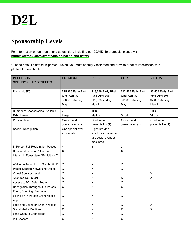## Sponsorship Levels

For information on our health and safety plan, including our COVID-19 protocols, please visit https://www.d2l.com/events/fusion/health-and-safety.

\*Please note: To attend in-person Fusion, you must be fully vaccinated and provide proof of vaccination with photo ID upon check-in.

| <b>IN-PERSON</b>                       | <b>PREMIUM</b>            | <b>PLUS</b>          | <b>CORE</b>         | <b>VIRTUAL</b>     |
|----------------------------------------|---------------------------|----------------------|---------------------|--------------------|
| <b>SPONSORSHIP BENEFITS</b>            |                           |                      |                     |                    |
|                                        |                           |                      |                     |                    |
| Pricing (USD)                          | \$25,000 Early Bird       | \$18,500 Early Bird  | \$12,500 Early Bird | \$5,500 Early Bird |
|                                        | (until April 30)          | (until April 30)     | (until April 30)    | (until April 30)   |
|                                        | \$30,500 starting         | \$20,000 starting    | \$15,000 starting   | \$7,000 starting   |
|                                        | May 1                     | May 1                | May 1               | May 1              |
| Number of Sponsorships Available       | $\overline{2}$            | <b>TBD</b>           | <b>TBD</b>          | <b>TBD</b>         |
| <b>Exhibit Area</b>                    | Large                     | Medium               | Small               | Virtual            |
| Presentation                           | On-demand                 | On-demand            | On-demand           | On-demand          |
|                                        | presentation (1)          | presentation (1)     | presentation (1)    | presentation (1)   |
| <b>Special Recognition</b>             | One special event         | Signature drink,     |                     |                    |
|                                        | sponsorship               | snack or experience  |                     |                    |
|                                        |                           | at a social event or |                     |                    |
|                                        |                           | meal break           |                     |                    |
| In-Person Full Registration Passes     | 4                         | 3                    | $\overline{2}$      |                    |
| Dedicated Time for Attendees to        | $\pmb{\times}$            | $\pmb{\times}$       | $\mathsf X$         |                    |
| interact in Ecosystem ("Exhibit Hall") |                           |                      |                     |                    |
|                                        |                           |                      |                     |                    |
| Welcome Reception in "Exhibit Hall"    | $\pmb{\times}$            | $\pmb{\times}$       | $\pmb{\times}$      |                    |
| Poster Session Networking Option       | $\mathsf X$               | $\mathsf{X}$         | $\pmb{\times}$      |                    |
| Virtual Sponsor Level                  | $\pmb{\times}$            | $\mathsf X$          |                     | $\pmb{\times}$     |
| Attendee Opt-In List                   | X                         | $\pmb{\times}$       | $\pmb{\times}$      | X                  |
| Access to D2L Sales Team               | $\mathsf X$               | $\sf X$              | $\mathsf X$         |                    |
| Recognition Throughout In-Person       | $\boldsymbol{\mathsf{X}}$ | $\mathsf{X}$         | $\mathsf{X}$        |                    |
| Event, Branding, Promotion             |                           |                      |                     |                    |
| Listing on In-Person Event Mobile      | $\boldsymbol{\mathsf{X}}$ | $\pmb{\times}$       | $\pmb{\times}$      |                    |
| App                                    |                           |                      |                     |                    |
| Logo and Listing on Event Website      | $\pmb{\times}$            | $\mathsf X$          | $\pmb{\times}$      | $\pmb{\times}$     |
| Social Media Mentions                  | $\mathsf{X}$              | $\pmb{\mathsf{X}}$   | $\mathsf X$         | $\pmb{\times}$     |
| <b>Lead Capture Capabilities</b>       | $\pmb{\times}$            | $\pmb{\times}$       | $\pmb{\times}$      |                    |
| <b>WiFi Access</b>                     | $\times$                  | $\mathsf X$          | $\sf X$             |                    |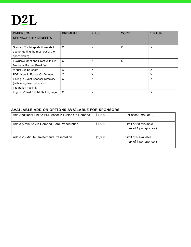# D<sub>2</sub>L

| <b>IN-PERSON</b><br><b>SPONSORSHIP BENEFITS</b>                                            | <b>PREMIUM</b>            | <b>PLUS</b> | <b>CORE</b> | <b>VIRTUAL</b> |
|--------------------------------------------------------------------------------------------|---------------------------|-------------|-------------|----------------|
| Sponsor Toolkit (prebuilt assets to<br>use for getting the most out of the<br>sponsorship) | $\times$                  | X           | $\times$    | $\times$       |
| Exclusive Meet and Greet With D2L<br>Moose at Partner Breakfast                            | $\boldsymbol{\mathsf{X}}$ | X           | $\times$    |                |
| <b>Virtual Exhibit Booth</b>                                                               | X                         | X           |             | X              |
| PDF Asset in Fusion On Demand                                                              | X                         | X           |             | X              |
| Listing in Event Sponsor Directory<br>(with logo, description and<br>integration hub link) | $\times$                  | X           |             | $\times$       |
| Logo in Virtual Exhibit Hall Signage                                                       | X                         | X           |             | X              |

#### AVAILABLE ADD-ON OPTIONS AVAILABLE FOR SPONSORS:

| Add Additional Link to PDF Asset in Fusion On Demand | \$1,000 | Per asset (max of 3)                            |
|------------------------------------------------------|---------|-------------------------------------------------|
| Add a 5-Minute On-Demand Flare Presentation          | \$1,500 | Limit of 20 available<br>(max of 1 per sponsor) |
| Add a 20-Minute On-Demand Presentation               | \$2,000 | Limit of 5 available<br>(max of 1 per sponsor)  |